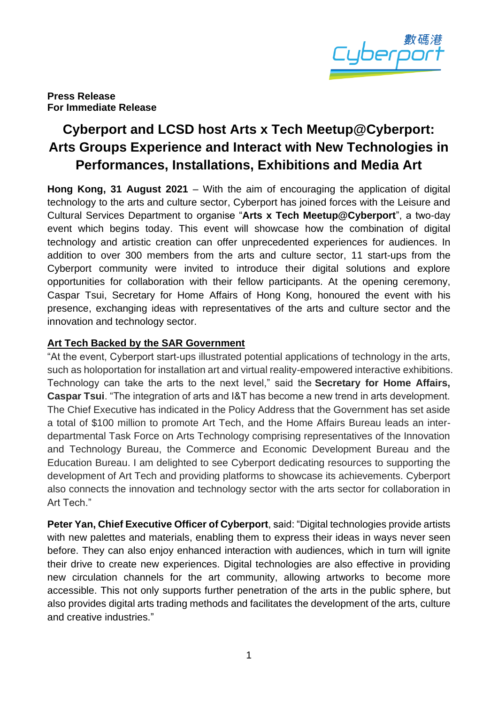

**Press Release For Immediate Release**

# **Cyberport and LCSD host Arts x Tech Meetup@Cyberport: Arts Groups Experience and Interact with New Technologies in Performances, Installations, Exhibitions and Media Art**

**Hong Kong, 31 August 2021** – With the aim of encouraging the application of digital technology to the arts and culture sector, Cyberport has joined forces with the Leisure and Cultural Services Department to organise "**Arts x Tech Meetup@Cyberport**", a two-day event which begins today. This event will showcase how the combination of digital technology and artistic creation can offer unprecedented experiences for audiences. In addition to over 300 members from the arts and culture sector, 11 start-ups from the Cyberport community were invited to introduce their digital solutions and explore opportunities for collaboration with their fellow participants. At the opening ceremony, Caspar Tsui, Secretary for Home Affairs of Hong Kong, honoured the event with his presence, exchanging ideas with representatives of the arts and culture sector and the innovation and technology sector.

#### **Art Tech Backed by the SAR Government**

"At the event, Cyberport start-ups illustrated potential applications of technology in the arts, such as holoportation for installation art and virtual reality-empowered interactive exhibitions. Technology can take the arts to the next level," said the **Secretary for Home Affairs, Caspar Tsui**. "The integration of arts and I&T has become a new trend in arts development. The Chief Executive has indicated in the Policy Address that the Government has set aside a total of \$100 million to promote Art Tech, and the Home Affairs Bureau leads an interdepartmental Task Force on Arts Technology comprising representatives of the Innovation and Technology Bureau, the Commerce and Economic Development Bureau and the Education Bureau. I am delighted to see Cyberport dedicating resources to supporting the development of Art Tech and providing platforms to showcase its achievements. Cyberport also connects the innovation and technology sector with the arts sector for collaboration in Art Tech."

**Peter Yan, Chief Executive Officer of Cyberport**, said: "Digital technologies provide artists with new palettes and materials, enabling them to express their ideas in ways never seen before. They can also enjoy enhanced interaction with audiences, which in turn will ignite their drive to create new experiences. Digital technologies are also effective in providing new circulation channels for the art community, allowing artworks to become more accessible. This not only supports further penetration of the arts in the public sphere, but also provides digital arts trading methods and facilitates the development of the arts, culture and creative industries."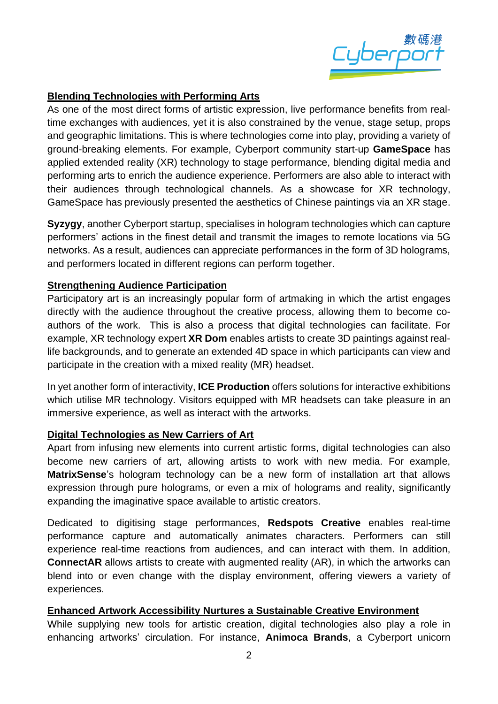

## **Blending Technologies with Performing Arts**

As one of the most direct forms of artistic expression, live performance benefits from realtime exchanges with audiences, yet it is also constrained by the venue, stage setup, props and geographic limitations. This is where technologies come into play, providing a variety of ground-breaking elements. For example, Cyberport community start-up **GameSpace** has applied extended reality (XR) technology to stage performance, blending digital media and performing arts to enrich the audience experience. Performers are also able to interact with their audiences through technological channels. As a showcase for XR technology, GameSpace has previously presented the aesthetics of Chinese paintings via an XR stage.

**Syzygy**, another Cyberport startup, specialises in hologram technologies which can capture performers' actions in the finest detail and transmit the images to remote locations via 5G networks. As a result, audiences can appreciate performances in the form of 3D holograms, and performers located in different regions can perform together.

#### **Strengthening Audience Participation**

Participatory art is an increasingly popular form of artmaking in which the artist engages directly with the audience throughout the creative process, allowing them to become coauthors of the work. This is also a process that digital technologies can facilitate. For example, XR technology expert **XR Dom** enables artists to create 3D paintings against reallife backgrounds, and to generate an extended 4D space in which participants can view and participate in the creation with a mixed reality (MR) headset.

In yet another form of interactivity, **ICE Production** offers solutions for interactive exhibitions which utilise MR technology. Visitors equipped with MR headsets can take pleasure in an immersive experience, as well as interact with the artworks.

#### **Digital Technologies as New Carriers of Art**

Apart from infusing new elements into current artistic forms, digital technologies can also become new carriers of art, allowing artists to work with new media. For example, **MatrixSense**'s hologram technology can be a new form of installation art that allows expression through pure holograms, or even a mix of holograms and reality, significantly expanding the imaginative space available to artistic creators.

Dedicated to digitising stage performances, **Redspots Creative** enables real-time performance capture and automatically animates characters. Performers can still experience real-time reactions from audiences, and can interact with them. In addition, **ConnectAR** allows artists to create with augmented reality (AR), in which the artworks can blend into or even change with the display environment, offering viewers a variety of experiences.

#### **Enhanced Artwork Accessibility Nurtures a Sustainable Creative Environment**

While supplying new tools for artistic creation, digital technologies also play a role in enhancing artworks' circulation. For instance, **Animoca Brands**, a Cyberport unicorn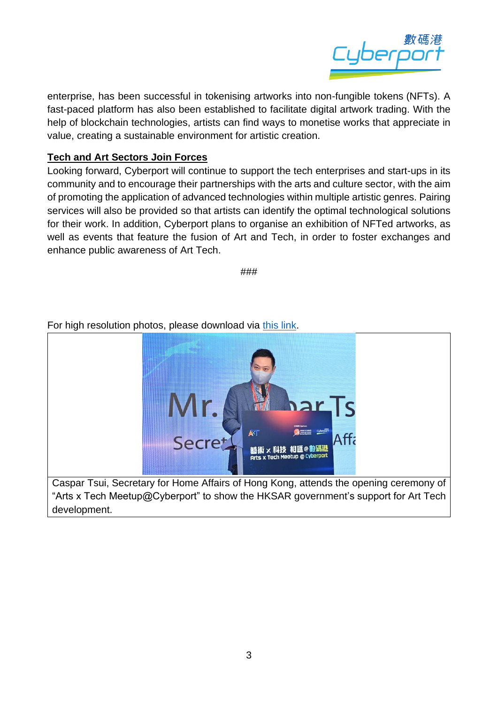

enterprise, has been successful in tokenising artworks into non-fungible tokens (NFTs). A fast-paced platform has also been established to facilitate digital artwork trading. With the help of blockchain technologies, artists can find ways to monetise works that appreciate in value, creating a sustainable environment for artistic creation.

## **Tech and Art Sectors Join Forces**

development.

Looking forward, Cyberport will continue to support the tech enterprises and start-ups in its community and to encourage their partnerships with the arts and culture sector, with the aim of promoting the application of advanced technologies within multiple artistic genres. Pairing services will also be provided so that artists can identify the optimal technological solutions for their work. In addition, Cyberport plans to organise an exhibition of NFTed artworks, as well as events that feature the fusion of Art and Tech, in order to foster exchanges and enhance public awareness of Art Tech.

###

### For high resolution photos, please download via [this link.](https://drive.google.com/drive/folders/1xG3xVmL8xumf4fWePYfyHLcpM7xUia1Z?usp=sharing)

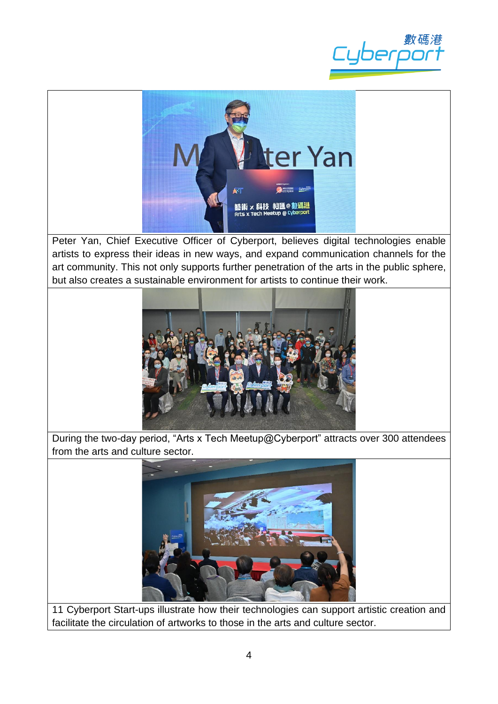



Peter Yan, Chief Executive Officer of Cyberport, believes digital technologies enable artists to express their ideas in new ways, and expand communication channels for the art community. This not only supports further penetration of the arts in the public sphere, but also creates a sustainable environment for artists to continue their work.



During the two-day period, "Arts x Tech Meetup@Cyberport" attracts over 300 attendees from the arts and culture sector.



11 Cyberport Start-ups illustrate how their technologies can support artistic creation and facilitate the circulation of artworks to those in the arts and culture sector.